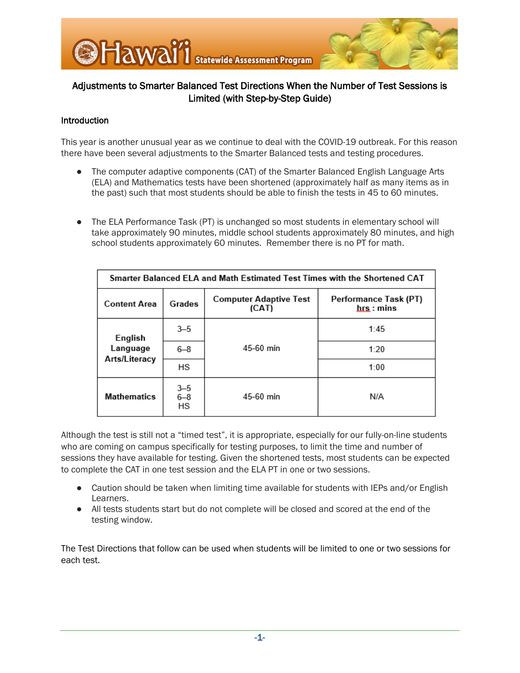

## Introduction

This year is another unusual year as we continue to deal with the COVID-19 outbreak. For this reason there have been several adjustments to the Smarter Balanced tests and testing procedures.

- The computer adaptive components (CAT) of the Smarter Balanced English Language Arts (ELA) and Mathematics tests have been shortened (approximately half as many items as in the past) such that most students should be able to finish the tests in 45 to 60 minutes.
- The ELA Performance Task (PT) is unchanged so most students in elementary school will take approximately 90 minutes, middle school students approximately 80 minutes, and high school students approximately 60 minutes. Remember there is no PT for math.

| Smarter Balanced ELA and Math Estimated Test Times with the Shortened CAT |                          |                                        |                                       |
|---------------------------------------------------------------------------|--------------------------|----------------------------------------|---------------------------------------|
| <b>Content Area</b>                                                       | Grades                   | <b>Computer Adaptive Test</b><br>(CAT) | Performance Task (PT)<br>$hrs : mins$ |
| English<br>Language                                                       | $3 - 5$                  | 45-60 min                              | 1:45                                  |
|                                                                           | $6 - 8$                  |                                        | 1:20                                  |
| Arts/Literacy                                                             | HS                       |                                        | 1:00                                  |
| <b>Mathematics</b>                                                        | $3 - 5$<br>$6 - 8$<br>HS | 45-60 min                              | N/A                                   |

Although the test is still not a "timed test", it is appropriate, especially for our fully-on-line students who are coming on campus specifically for testing purposes, to limit the time and number of sessions they have available for testing. Given the shortened tests, most students can be expected to complete the CAT in one test session and the ELA PT in one or two sessions.

- Caution should be taken when limiting time available for students with IEPs and/or English Learners.
- All tests students start but do not complete will be closed and scored at the end of the testing window.

The Test Directions that follow can be used when students will be limited to one or two sessions for each test.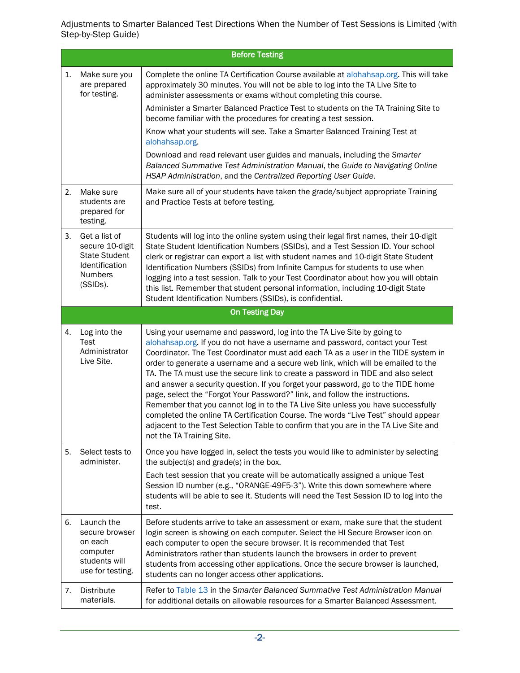|    | <b>Before Testing</b>                                                                             |                                                                                                                                                                                                                                                                                                                                                                                                                                                                                                                                                                                                                                                                                                                                                                                                                                                                                        |  |
|----|---------------------------------------------------------------------------------------------------|----------------------------------------------------------------------------------------------------------------------------------------------------------------------------------------------------------------------------------------------------------------------------------------------------------------------------------------------------------------------------------------------------------------------------------------------------------------------------------------------------------------------------------------------------------------------------------------------------------------------------------------------------------------------------------------------------------------------------------------------------------------------------------------------------------------------------------------------------------------------------------------|--|
| 1. | Make sure you<br>are prepared<br>for testing.                                                     | Complete the online TA Certification Course available at alohahsap.org. This will take<br>approximately 30 minutes. You will not be able to log into the TA Live Site to<br>administer assessments or exams without completing this course.<br>Administer a Smarter Balanced Practice Test to students on the TA Training Site to<br>become familiar with the procedures for creating a test session.<br>Know what your students will see. Take a Smarter Balanced Training Test at<br>alohahsap.org.<br>Download and read relevant user guides and manuals, including the Smarter<br>Balanced Summative Test Administration Manual, the Guide to Navigating Online<br>HSAP Administration, and the Centralized Reporting User Guide.                                                                                                                                                  |  |
| 2. | Make sure<br>students are<br>prepared for<br>testing.                                             | Make sure all of your students have taken the grade/subject appropriate Training<br>and Practice Tests at before testing.                                                                                                                                                                                                                                                                                                                                                                                                                                                                                                                                                                                                                                                                                                                                                              |  |
| 3. | Get a list of<br>secure 10-digit<br><b>State Student</b><br>Identification<br>Numbers<br>(SSIDs). | Students will log into the online system using their legal first names, their 10-digit<br>State Student Identification Numbers (SSIDs), and a Test Session ID. Your school<br>clerk or registrar can export a list with student names and 10-digit State Student<br>Identification Numbers (SSIDs) from Infinite Campus for students to use when<br>logging into a test session. Talk to your Test Coordinator about how you will obtain<br>this list. Remember that student personal information, including 10-digit State<br>Student Identification Numbers (SSIDs), is confidential.                                                                                                                                                                                                                                                                                                |  |
|    |                                                                                                   | <b>On Testing Day</b>                                                                                                                                                                                                                                                                                                                                                                                                                                                                                                                                                                                                                                                                                                                                                                                                                                                                  |  |
| 4. | Log into the<br>Test<br>Administrator<br>Live Site.                                               | Using your username and password, log into the TA Live Site by going to<br>alohahsap.org. If you do not have a username and password, contact your Test<br>Coordinator. The Test Coordinator must add each TA as a user in the TIDE system in<br>order to generate a username and a secure web link, which will be emailed to the<br>TA. The TA must use the secure link to create a password in TIDE and also select<br>and answer a security question. If you forget your password, go to the TIDE home<br>page, select the "Forgot Your Password?" link, and follow the instructions.<br>Remember that you cannot log in to the TA Live Site unless you have successfully<br>completed the online TA Certification Course. The words "Live Test" should appear<br>adjacent to the Test Selection Table to confirm that you are in the TA Live Site and<br>not the TA Training Site. |  |
| 5. | Select tests to<br>administer.                                                                    | Once you have logged in, select the tests you would like to administer by selecting<br>the subject(s) and grade(s) in the box.<br>Each test session that you create will be automatically assigned a unique Test<br>Session ID number (e.g., "ORANGE-49F5-3"). Write this down somewhere where<br>students will be able to see it. Students will need the Test Session ID to log into the<br>test.                                                                                                                                                                                                                                                                                                                                                                                                                                                                                     |  |
| 6. | Launch the<br>secure browser<br>on each<br>computer<br>students will<br>use for testing.          | Before students arrive to take an assessment or exam, make sure that the student<br>login screen is showing on each computer. Select the HI Secure Browser icon on<br>each computer to open the secure browser. It is recommended that Test<br>Administrators rather than students launch the browsers in order to prevent<br>students from accessing other applications. Once the secure browser is launched,<br>students can no longer access other applications.                                                                                                                                                                                                                                                                                                                                                                                                                    |  |
| 7. | Distribute<br>materials.                                                                          | Refer to Table 13 in the Smarter Balanced Summative Test Administration Manual<br>for additional details on allowable resources for a Smarter Balanced Assessment.                                                                                                                                                                                                                                                                                                                                                                                                                                                                                                                                                                                                                                                                                                                     |  |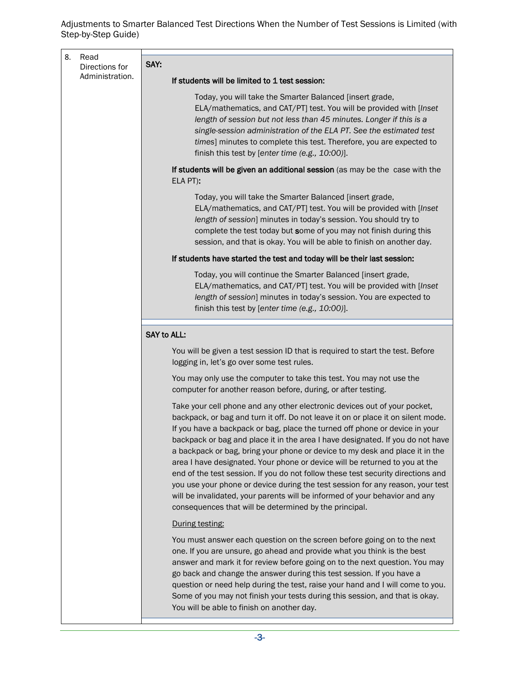| 8. | Read                              |                                                                                                                                                                                                                                                                                                                                                                                                                                                                                                                                                                                                                                                                                                                                                                                                              |
|----|-----------------------------------|--------------------------------------------------------------------------------------------------------------------------------------------------------------------------------------------------------------------------------------------------------------------------------------------------------------------------------------------------------------------------------------------------------------------------------------------------------------------------------------------------------------------------------------------------------------------------------------------------------------------------------------------------------------------------------------------------------------------------------------------------------------------------------------------------------------|
|    | Directions for<br>Administration. | SAY:                                                                                                                                                                                                                                                                                                                                                                                                                                                                                                                                                                                                                                                                                                                                                                                                         |
|    |                                   | If students will be limited to 1 test session:                                                                                                                                                                                                                                                                                                                                                                                                                                                                                                                                                                                                                                                                                                                                                               |
|    |                                   | Today, you will take the Smarter Balanced [insert grade,<br>ELA/mathematics, and CAT/PT] test. You will be provided with [Inset<br>length of session but not less than 45 minutes. Longer if this is a<br>single-session administration of the ELA PT. See the estimated test<br>times] minutes to complete this test. Therefore, you are expected to<br>finish this test by [enter time (e.g., 10:00)].                                                                                                                                                                                                                                                                                                                                                                                                     |
|    |                                   | If students will be given an additional session (as may be the case with the<br>ELA PT):                                                                                                                                                                                                                                                                                                                                                                                                                                                                                                                                                                                                                                                                                                                     |
|    |                                   | Today, you will take the Smarter Balanced [insert grade,<br>ELA/mathematics, and CAT/PT] test. You will be provided with [Inset]<br>length of session] minutes in today's session. You should try to<br>complete the test today but some of you may not finish during this<br>session, and that is okay. You will be able to finish on another day.                                                                                                                                                                                                                                                                                                                                                                                                                                                          |
|    |                                   | If students have started the test and today will be their last session:                                                                                                                                                                                                                                                                                                                                                                                                                                                                                                                                                                                                                                                                                                                                      |
|    |                                   | Today, you will continue the Smarter Balanced [insert grade,<br>ELA/mathematics, and CAT/PT] test. You will be provided with [Inset<br>length of session] minutes in today's session. You are expected to<br>finish this test by [enter time (e.g., 10:00)].                                                                                                                                                                                                                                                                                                                                                                                                                                                                                                                                                 |
|    |                                   | <b>SAY to ALL:</b>                                                                                                                                                                                                                                                                                                                                                                                                                                                                                                                                                                                                                                                                                                                                                                                           |
|    |                                   | You will be given a test session ID that is required to start the test. Before<br>logging in, let's go over some test rules.                                                                                                                                                                                                                                                                                                                                                                                                                                                                                                                                                                                                                                                                                 |
|    |                                   | You may only use the computer to take this test. You may not use the<br>computer for another reason before, during, or after testing.                                                                                                                                                                                                                                                                                                                                                                                                                                                                                                                                                                                                                                                                        |
|    |                                   | Take your cell phone and any other electronic devices out of your pocket,<br>backpack, or bag and turn it off. Do not leave it on or place it on silent mode.<br>If you have a backpack or bag, place the turned off phone or device in your<br>backpack or bag and place it in the area I have designated. If you do not have<br>a backpack or bag, bring your phone or device to my desk and place it in the<br>area I have designated. Your phone or device will be returned to you at the<br>end of the test session. If you do not follow these test security directions and<br>you use your phone or device during the test session for any reason, your test<br>will be invalidated, your parents will be informed of your behavior and any<br>consequences that will be determined by the principal. |
|    |                                   | During testing:                                                                                                                                                                                                                                                                                                                                                                                                                                                                                                                                                                                                                                                                                                                                                                                              |
|    |                                   | You must answer each question on the screen before going on to the next<br>one. If you are unsure, go ahead and provide what you think is the best<br>answer and mark it for review before going on to the next question. You may<br>go back and change the answer during this test session. If you have a<br>question or need help during the test, raise your hand and I will come to you.<br>Some of you may not finish your tests during this session, and that is okay.<br>You will be able to finish on another day.                                                                                                                                                                                                                                                                                   |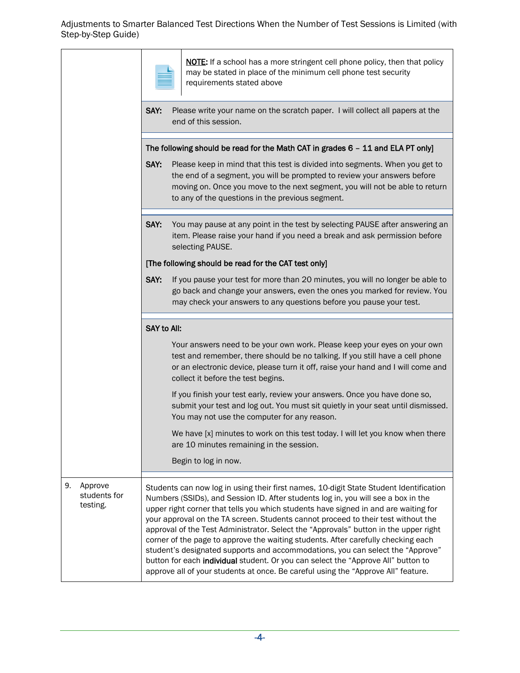|                                           |                                                                                                               | NOTE: If a school has a more stringent cell phone policy, then that policy<br>may be stated in place of the minimum cell phone test security<br>requirements stated above                                                                                                                                                                                                                                                                                                                                                                                                                                                                                                                                                                                                                        |  |
|-------------------------------------------|---------------------------------------------------------------------------------------------------------------|--------------------------------------------------------------------------------------------------------------------------------------------------------------------------------------------------------------------------------------------------------------------------------------------------------------------------------------------------------------------------------------------------------------------------------------------------------------------------------------------------------------------------------------------------------------------------------------------------------------------------------------------------------------------------------------------------------------------------------------------------------------------------------------------------|--|
|                                           | SAY:<br>Please write your name on the scratch paper. I will collect all papers at the<br>end of this session. |                                                                                                                                                                                                                                                                                                                                                                                                                                                                                                                                                                                                                                                                                                                                                                                                  |  |
|                                           |                                                                                                               | The following should be read for the Math CAT in grades 6 - 11 and ELA PT only]                                                                                                                                                                                                                                                                                                                                                                                                                                                                                                                                                                                                                                                                                                                  |  |
| SAY:                                      |                                                                                                               | Please keep in mind that this test is divided into segments. When you get to<br>the end of a segment, you will be prompted to review your answers before<br>moving on. Once you move to the next segment, you will not be able to return<br>to any of the questions in the previous segment.                                                                                                                                                                                                                                                                                                                                                                                                                                                                                                     |  |
|                                           | SAY:                                                                                                          | You may pause at any point in the test by selecting PAUSE after answering an<br>item. Please raise your hand if you need a break and ask permission before<br>selecting PAUSE.                                                                                                                                                                                                                                                                                                                                                                                                                                                                                                                                                                                                                   |  |
|                                           | [The following should be read for the CAT test only]                                                          |                                                                                                                                                                                                                                                                                                                                                                                                                                                                                                                                                                                                                                                                                                                                                                                                  |  |
|                                           | SAY:                                                                                                          | If you pause your test for more than 20 minutes, you will no longer be able to<br>go back and change your answers, even the ones you marked for review. You<br>may check your answers to any questions before you pause your test.                                                                                                                                                                                                                                                                                                                                                                                                                                                                                                                                                               |  |
|                                           | <b>SAY to All:</b>                                                                                            |                                                                                                                                                                                                                                                                                                                                                                                                                                                                                                                                                                                                                                                                                                                                                                                                  |  |
|                                           |                                                                                                               | Your answers need to be your own work. Please keep your eyes on your own<br>test and remember, there should be no talking. If you still have a cell phone<br>or an electronic device, please turn it off, raise your hand and I will come and<br>collect it before the test begins.                                                                                                                                                                                                                                                                                                                                                                                                                                                                                                              |  |
|                                           |                                                                                                               | If you finish your test early, review your answers. Once you have done so,<br>submit your test and log out. You must sit quietly in your seat until dismissed.<br>You may not use the computer for any reason.                                                                                                                                                                                                                                                                                                                                                                                                                                                                                                                                                                                   |  |
|                                           |                                                                                                               | We have [x] minutes to work on this test today. I will let you know when there<br>are 10 minutes remaining in the session.                                                                                                                                                                                                                                                                                                                                                                                                                                                                                                                                                                                                                                                                       |  |
|                                           |                                                                                                               | Begin to log in now.                                                                                                                                                                                                                                                                                                                                                                                                                                                                                                                                                                                                                                                                                                                                                                             |  |
| 9.<br>Approve<br>students for<br>testing. |                                                                                                               | Students can now log in using their first names, 10-digit State Student Identification<br>Numbers (SSIDs), and Session ID. After students log in, you will see a box in the<br>upper right corner that tells you which students have signed in and are waiting for<br>your approval on the TA screen. Students cannot proceed to their test without the<br>approval of the Test Administrator. Select the "Approvals" button in the upper right<br>corner of the page to approve the waiting students. After carefully checking each<br>student's designated supports and accommodations, you can select the "Approve"<br>button for each individual student. Or you can select the "Approve All" button to<br>approve all of your students at once. Be careful using the "Approve All" feature. |  |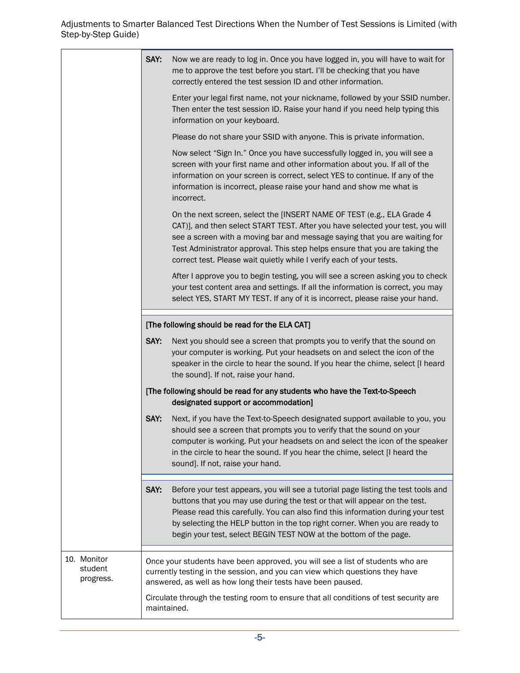|                                                | SAY:                                                                                                                                                                                                                                                                                                                                  | Now we are ready to log in. Once you have logged in, you will have to wait for<br>me to approve the test before you start. I'll be checking that you have<br>correctly entered the test session ID and other information.                                                                                                                                                                             |
|------------------------------------------------|---------------------------------------------------------------------------------------------------------------------------------------------------------------------------------------------------------------------------------------------------------------------------------------------------------------------------------------|-------------------------------------------------------------------------------------------------------------------------------------------------------------------------------------------------------------------------------------------------------------------------------------------------------------------------------------------------------------------------------------------------------|
|                                                |                                                                                                                                                                                                                                                                                                                                       | Enter your legal first name, not your nickname, followed by your SSID number.<br>Then enter the test session ID. Raise your hand if you need help typing this<br>information on your keyboard.                                                                                                                                                                                                        |
|                                                |                                                                                                                                                                                                                                                                                                                                       | Please do not share your SSID with anyone. This is private information.                                                                                                                                                                                                                                                                                                                               |
|                                                |                                                                                                                                                                                                                                                                                                                                       | Now select "Sign In." Once you have successfully logged in, you will see a<br>screen with your first name and other information about you. If all of the<br>information on your screen is correct, select YES to continue. If any of the<br>information is incorrect, please raise your hand and show me what is<br>incorrect.                                                                        |
|                                                |                                                                                                                                                                                                                                                                                                                                       | On the next screen, select the [INSERT NAME OF TEST (e.g., ELA Grade 4<br>CAT)], and then select START TEST. After you have selected your test, you will<br>see a screen with a moving bar and message saying that you are waiting for<br>Test Administrator approval. This step helps ensure that you are taking the<br>correct test. Please wait quietly while I verify each of your tests.         |
|                                                |                                                                                                                                                                                                                                                                                                                                       | After I approve you to begin testing, you will see a screen asking you to check<br>your test content area and settings. If all the information is correct, you may<br>select YES, START MY TEST. If any of it is incorrect, please raise your hand.                                                                                                                                                   |
| [The following should be read for the ELA CAT] |                                                                                                                                                                                                                                                                                                                                       |                                                                                                                                                                                                                                                                                                                                                                                                       |
|                                                | SAY:                                                                                                                                                                                                                                                                                                                                  | Next you should see a screen that prompts you to verify that the sound on<br>your computer is working. Put your headsets on and select the icon of the<br>speaker in the circle to hear the sound. If you hear the chime, select [I heard<br>the sound]. If not, raise your hand.                                                                                                                     |
|                                                |                                                                                                                                                                                                                                                                                                                                       | [The following should be read for any students who have the Text-to-Speech<br>designated support or accommodation]                                                                                                                                                                                                                                                                                    |
|                                                | SAY:                                                                                                                                                                                                                                                                                                                                  | Next, if you have the Text-to-Speech designated support available to you, you<br>should see a screen that prompts you to verify that the sound on your<br>computer is working. Put your headsets on and select the icon of the speaker<br>in the circle to hear the sound. If you hear the chime, select [I heard the<br>sound]. If not, raise your hand.                                             |
|                                                | SAY:                                                                                                                                                                                                                                                                                                                                  | Before your test appears, you will see a tutorial page listing the test tools and<br>buttons that you may use during the test or that will appear on the test.<br>Please read this carefully. You can also find this information during your test<br>by selecting the HELP button in the top right corner. When you are ready to<br>begin your test, select BEGIN TEST NOW at the bottom of the page. |
| 10. Monitor<br>student<br>progress.            | Once your students have been approved, you will see a list of students who are<br>currently testing in the session, and you can view which questions they have<br>answered, as well as how long their tests have been paused.<br>Circulate through the testing room to ensure that all conditions of test security are<br>maintained. |                                                                                                                                                                                                                                                                                                                                                                                                       |
|                                                |                                                                                                                                                                                                                                                                                                                                       |                                                                                                                                                                                                                                                                                                                                                                                                       |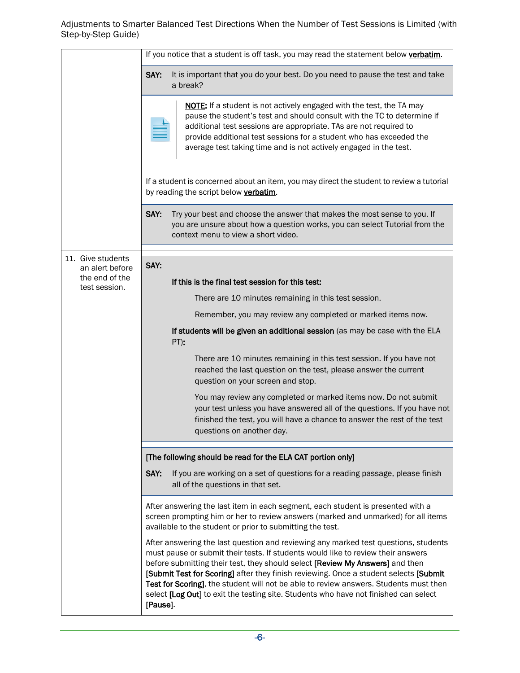|                                   | If you notice that a student is off task, you may read the statement below verbatim.                                                                                                                                                                                                                                                                                                                                                                                                                                                           |  |  |
|-----------------------------------|------------------------------------------------------------------------------------------------------------------------------------------------------------------------------------------------------------------------------------------------------------------------------------------------------------------------------------------------------------------------------------------------------------------------------------------------------------------------------------------------------------------------------------------------|--|--|
|                                   | SAY:<br>It is important that you do your best. Do you need to pause the test and take<br>a break?                                                                                                                                                                                                                                                                                                                                                                                                                                              |  |  |
|                                   | <b>NOTE:</b> If a student is not actively engaged with the test, the TA may<br>pause the student's test and should consult with the TC to determine if<br>additional test sessions are appropriate. TAs are not required to<br>provide additional test sessions for a student who has exceeded the<br>average test taking time and is not actively engaged in the test.                                                                                                                                                                        |  |  |
|                                   | If a student is concerned about an item, you may direct the student to review a tutorial<br>by reading the script below verbatim.                                                                                                                                                                                                                                                                                                                                                                                                              |  |  |
|                                   | SAY:<br>Try your best and choose the answer that makes the most sense to you. If<br>you are unsure about how a question works, you can select Tutorial from the<br>context menu to view a short video.                                                                                                                                                                                                                                                                                                                                         |  |  |
| 11. Give students                 | SAY:                                                                                                                                                                                                                                                                                                                                                                                                                                                                                                                                           |  |  |
| an alert before<br>the end of the | If this is the final test session for this test:                                                                                                                                                                                                                                                                                                                                                                                                                                                                                               |  |  |
| test session.                     | There are 10 minutes remaining in this test session.                                                                                                                                                                                                                                                                                                                                                                                                                                                                                           |  |  |
|                                   | Remember, you may review any completed or marked items now.                                                                                                                                                                                                                                                                                                                                                                                                                                                                                    |  |  |
|                                   | If students will be given an additional session (as may be case with the ELA<br>PT):                                                                                                                                                                                                                                                                                                                                                                                                                                                           |  |  |
|                                   | There are 10 minutes remaining in this test session. If you have not<br>reached the last question on the test, please answer the current<br>question on your screen and stop.                                                                                                                                                                                                                                                                                                                                                                  |  |  |
|                                   | You may review any completed or marked items now. Do not submit<br>your test unless you have answered all of the questions. If you have not<br>finished the test, you will have a chance to answer the rest of the test<br>questions on another day.                                                                                                                                                                                                                                                                                           |  |  |
|                                   | [The following should be read for the ELA CAT portion only]                                                                                                                                                                                                                                                                                                                                                                                                                                                                                    |  |  |
|                                   | SAY:<br>If you are working on a set of questions for a reading passage, please finish<br>all of the questions in that set.                                                                                                                                                                                                                                                                                                                                                                                                                     |  |  |
|                                   | After answering the last item in each segment, each student is presented with a<br>screen prompting him or her to review answers (marked and unmarked) for all items<br>available to the student or prior to submitting the test.                                                                                                                                                                                                                                                                                                              |  |  |
|                                   | After answering the last question and reviewing any marked test questions, students<br>must pause or submit their tests. If students would like to review their answers<br>before submitting their test, they should select [Review My Answers] and then<br>[Submit Test for Scoring] after they finish reviewing. Once a student selects [Submit<br>Test for Scoring], the student will not be able to review answers. Students must then<br>select [Log Out] to exit the testing site. Students who have not finished can select<br>[Pause]. |  |  |